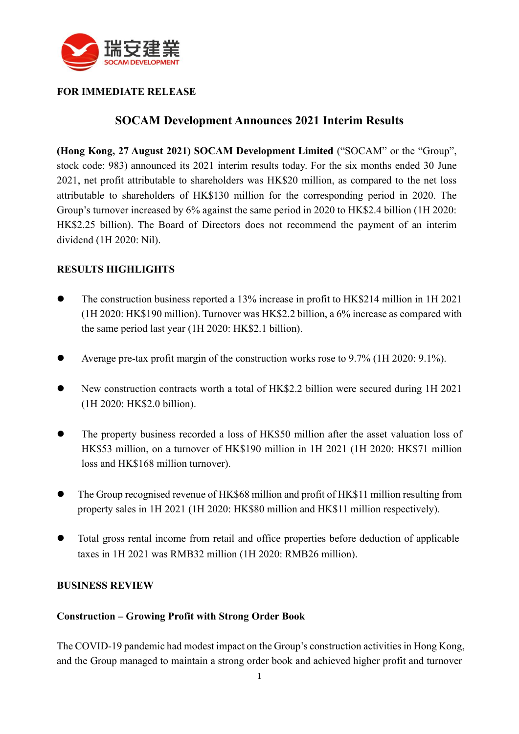

### **FOR IMMEDIATE RELEASE**

# **SOCAM Development Announces 2021 Interim Results**

**(Hong Kong, 27 August 2021) SOCAM Development Limited** ("SOCAM" or the "Group", stock code: 983) announced its 2021 interim results today. For the six months ended 30 June 2021, net profit attributable to shareholders was HK\$20 million, as compared to the net loss attributable to shareholders of HK\$130 million for the corresponding period in 2020. The Group's turnover increased by 6% against the same period in 2020 to HK\$2.4 billion (1H 2020: HK\$2.25 billion). The Board of Directors does not recommend the payment of an interim dividend (1H 2020: Nil).

### **RESULTS HIGHLIGHTS**

- The construction business reported a 13% increase in profit to HK\$214 million in 1H 2021 (1H 2020: HK\$190 million). Turnover was HK\$2.2 billion, a 6% increase as compared with the same period last year (1H 2020: HK\$2.1 billion).
- ⚫ Average pre-tax profit margin of the construction works rose to 9.7% (1H 2020: 9.1%).
- ⚫ New construction contracts worth a total of HK\$2.2 billion were secured during 1H 2021 (1H 2020: HK\$2.0 billion).
- ⚫ The property business recorded a loss of HK\$50 million after the asset valuation loss of HK\$53 million, on a turnover of HK\$190 million in 1H 2021 (1H 2020: HK\$71 million loss and HK\$168 million turnover).
- ⚫ The Group recognised revenue of HK\$68 million and profit of HK\$11 million resulting from property sales in 1H 2021 (1H 2020: HK\$80 million and HK\$11 million respectively).
- ⚫ Total gross rental income from retail and office properties before deduction of applicable taxes in 1H 2021 was RMB32 million (1H 2020: RMB26 million).

#### **BUSINESS REVIEW**

#### **Construction – Growing Profit with Strong Order Book**

The COVID-19 pandemic had modest impact on the Group's construction activities in Hong Kong, and the Group managed to maintain a strong order book and achieved higher profit and turnover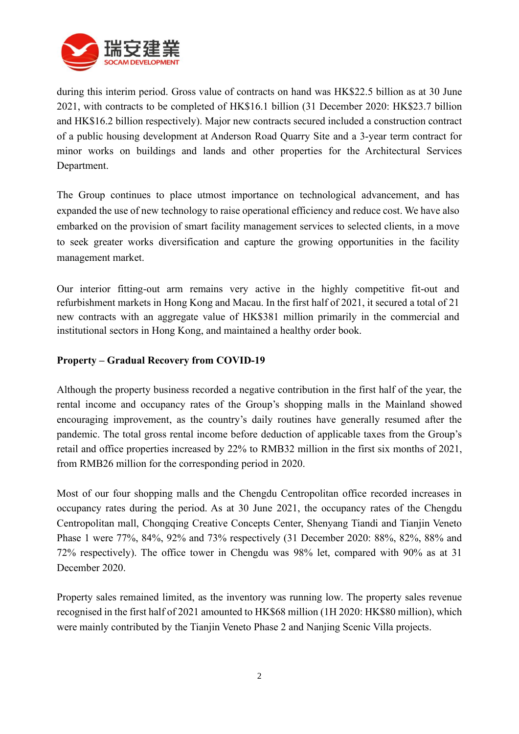

during this interim period. Gross value of contracts on hand was HK\$22.5 billion as at 30 June 2021, with contracts to be completed of HK\$16.1 billion (31 December 2020: HK\$23.7 billion and HK\$16.2 billion respectively). Major new contracts secured included a construction contract of a public housing development at Anderson Road Quarry Site and a 3-year term contract for minor works on buildings and lands and other properties for the Architectural Services Department.

The Group continues to place utmost importance on technological advancement, and has expanded the use of new technology to raise operational efficiency and reduce cost. We have also embarked on the provision of smart facility management services to selected clients, in a move to seek greater works diversification and capture the growing opportunities in the facility management market.

Our interior fitting-out arm remains very active in the highly competitive fit-out and refurbishment markets in Hong Kong and Macau. In the first half of 2021, it secured a total of 21 new contracts with an aggregate value of HK\$381 million primarily in the commercial and institutional sectors in Hong Kong, and maintained a healthy order book.

#### **Property – Gradual Recovery from COVID-19**

Although the property business recorded a negative contribution in the first half of the year, the rental income and occupancy rates of the Group's shopping malls in the Mainland showed encouraging improvement, as the country's daily routines have generally resumed after the pandemic. The total gross rental income before deduction of applicable taxes from the Group's retail and office properties increased by 22% to RMB32 million in the first six months of 2021, from RMB26 million for the corresponding period in 2020.

Most of our four shopping malls and the Chengdu Centropolitan office recorded increases in occupancy rates during the period. As at 30 June 2021, the occupancy rates of the Chengdu Centropolitan mall, Chongqing Creative Concepts Center, Shenyang Tiandi and Tianjin Veneto Phase 1 were 77%, 84%, 92% and 73% respectively (31 December 2020: 88%, 82%, 88% and 72% respectively). The office tower in Chengdu was 98% let, compared with 90% as at 31 December 2020.

Property sales remained limited, as the inventory was running low. The property sales revenue recognised in the first half of 2021 amounted to HK\$68 million (1H 2020: HK\$80 million), which were mainly contributed by the Tianjin Veneto Phase 2 and Nanjing Scenic Villa projects.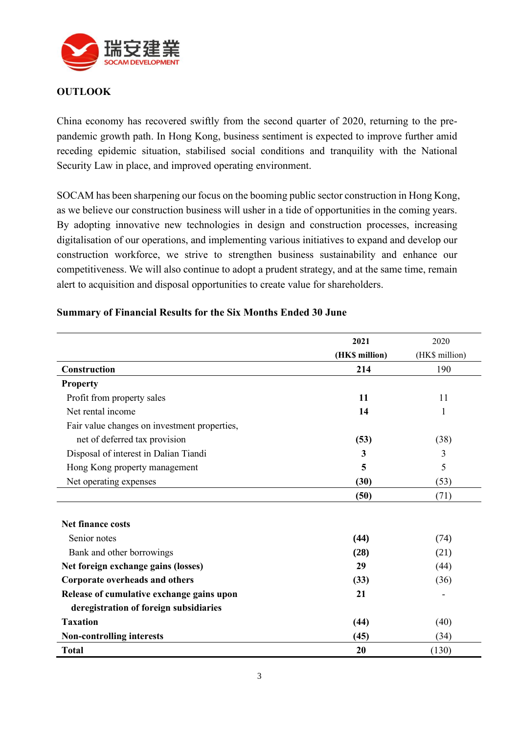

## **OUTLOOK**

China economy has recovered swiftly from the second quarter of 2020, returning to the prepandemic growth path. In Hong Kong, business sentiment is expected to improve further amid receding epidemic situation, stabilised social conditions and tranquility with the National Security Law in place, and improved operating environment.

SOCAM has been sharpening our focus on the booming public sector construction in Hong Kong, as we believe our construction business will usher in a tide of opportunities in the coming years. By adopting innovative new technologies in design and construction processes, increasing digitalisation of our operations, and implementing various initiatives to expand and develop our construction workforce, we strive to strengthen business sustainability and enhance our competitiveness. We will also continue to adopt a prudent strategy, and at the same time, remain alert to acquisition and disposal opportunities to create value for shareholders.

|                                              | 2021           | 2020           |
|----------------------------------------------|----------------|----------------|
|                                              | (HK\$ million) | (HK\$ million) |
| Construction                                 | 214            | 190            |
| <b>Property</b>                              |                |                |
| Profit from property sales                   | 11             | 11             |
| Net rental income                            | 14             | 1              |
| Fair value changes on investment properties, |                |                |
| net of deferred tax provision                | (53)           | (38)           |
| Disposal of interest in Dalian Tiandi        | 3              | 3              |
| Hong Kong property management                | 5              | 5              |
| Net operating expenses                       | (30)           | (53)           |
|                                              | (50)           | (71)           |
|                                              |                |                |
| <b>Net finance costs</b>                     |                |                |
| Senior notes                                 | (44)           | (74)           |
| Bank and other borrowings                    | (28)           | (21)           |
| Net foreign exchange gains (losses)          | 29             | (44)           |
| Corporate overheads and others               | (33)           | (36)           |
| Release of cumulative exchange gains upon    | 21             |                |
| deregistration of foreign subsidiaries       |                |                |
| <b>Taxation</b>                              | (44)           | (40)           |
| <b>Non-controlling interests</b>             | (45)           | (34)           |
| <b>Total</b>                                 | 20             | (130)          |

#### **Summary of Financial Results for the Six Months Ended 30 June**